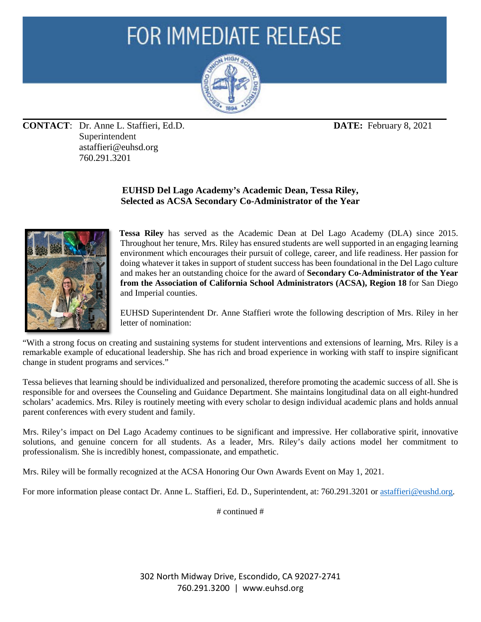## **FOR IMMEDIATE RELEASE**



**CONTACT**: Dr. Anne L. Staffieri, Ed.D. **DATE:** February 8, 2021 Superintendent astaffieri@euhsd.org 760.291.3201

## **EUHSD Del Lago Academy's Academic Dean, Tessa Riley, Selected as ACSA Secondary Co-Administrator of the Year**



**Tessa Riley** has served as the Academic Dean at Del Lago Academy (DLA) since 2015. Throughout her tenure, Mrs. Riley has ensured students are well supported in an engaging learning environment which encourages their pursuit of college, career, and life readiness. Her passion for doing whatever it takes in support of student success has been foundational in the Del Lago culture and makes her an outstanding choice for the award of **Secondary Co-Administrator of the Year from the Association of California School Administrators (ACSA), Region 18** for San Diego and Imperial counties.

EUHSD Superintendent Dr. Anne Staffieri wrote the following description of Mrs. Riley in her letter of nomination:

"With a strong focus on creating and sustaining systems for student interventions and extensions of learning, Mrs. Riley is a remarkable example of educational leadership. She has rich and broad experience in working with staff to inspire significant change in student programs and services."

Tessa believes that learning should be individualized and personalized, therefore promoting the academic success of all. She is responsible for and oversees the Counseling and Guidance Department. She maintains longitudinal data on all eight-hundred scholars' academics. Mrs. Riley is routinely meeting with every scholar to design individual academic plans and holds annual parent conferences with every student and family.

Mrs. Riley's impact on Del Lago Academy continues to be significant and impressive. Her collaborative spirit, innovative solutions, and genuine concern for all students. As a leader, Mrs. Riley's daily actions model her commitment to professionalism. She is incredibly honest, compassionate, and empathetic.

Mrs. Riley will be formally recognized at the ACSA Honoring Our Own Awards Event on May 1, 2021.

For more information please contact Dr. Anne L. Staffieri, Ed. D., Superintendent, at: 760.291.3201 or [astaffieri@eushd.org](mailto:astaffieri@eushd.org).

# continued #